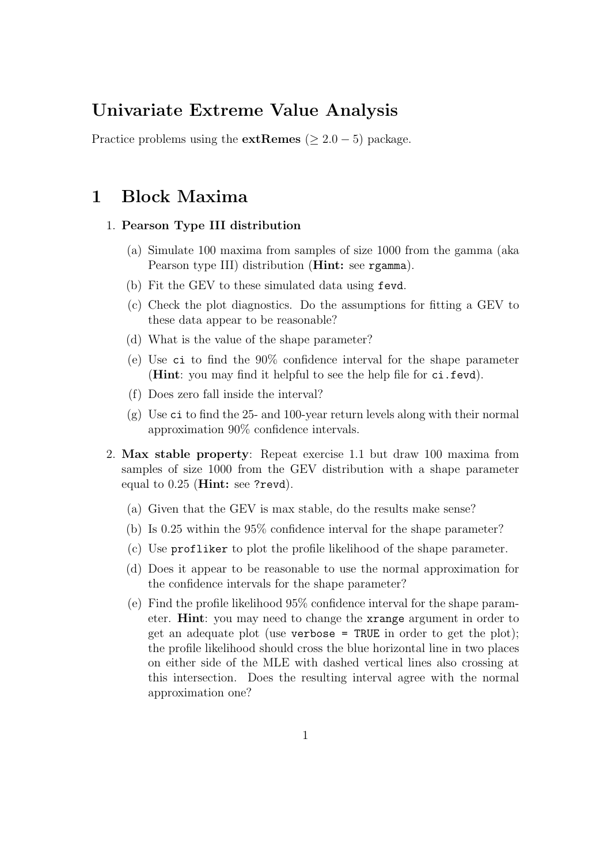# Univariate Extreme Value Analysis

Practice problems using the **extRemes** ( $\geq 2.0 - 5$ ) package.

## 1 Block Maxima

### 1. Pearson Type III distribution

- (a) Simulate 100 maxima from samples of size 1000 from the gamma (aka Pearson type III) distribution (Hint: see rgamma).
- (b) Fit the GEV to these simulated data using fevd.
- (c) Check the plot diagnostics. Do the assumptions for fitting a GEV to these data appear to be reasonable?
- (d) What is the value of the shape parameter?
- (e) Use ci to find the 90% confidence interval for the shape parameter (Hint: you may find it helpful to see the help file for ci.fevd).
- (f) Does zero fall inside the interval?
- $(g)$  Use ci to find the 25- and 100-year return levels along with their normal approximation 90% confidence intervals.
- 2. Max stable property: Repeat exercise 1.1 but draw 100 maxima from samples of size 1000 from the GEV distribution with a shape parameter equal to 0.25 (Hint: see ?revd).
	- (a) Given that the GEV is max stable, do the results make sense?
	- (b) Is 0.25 within the 95% confidence interval for the shape parameter?
	- (c) Use profliker to plot the profile likelihood of the shape parameter.
	- (d) Does it appear to be reasonable to use the normal approximation for the confidence intervals for the shape parameter?
	- (e) Find the profile likelihood 95% confidence interval for the shape parameter. Hint: you may need to change the xrange argument in order to get an adequate plot (use verbose = TRUE in order to get the plot); the profile likelihood should cross the blue horizontal line in two places on either side of the MLE with dashed vertical lines also crossing at this intersection. Does the resulting interval agree with the normal approximation one?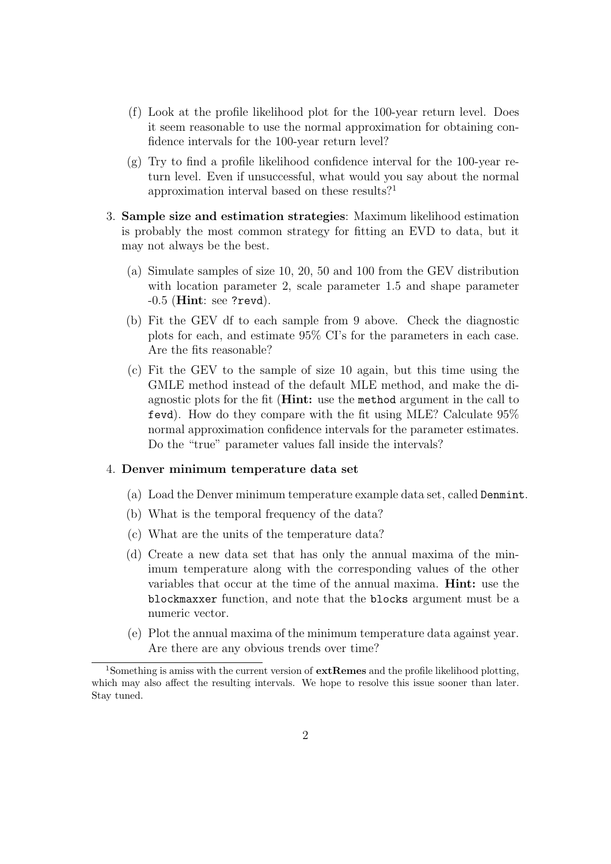- (f) Look at the profile likelihood plot for the 100-year return level. Does it seem reasonable to use the normal approximation for obtaining confidence intervals for the 100-year return level?
- $(g)$  Try to find a profile likelihood confidence interval for the 100-year return level. Even if unsuccessful, what would you say about the normal approximation interval based on these results?<sup>1</sup>
- 3. Sample size and estimation strategies: Maximum likelihood estimation is probably the most common strategy for fitting an EVD to data, but it may not always be the best.
	- (a) Simulate samples of size 10, 20, 50 and 100 from the GEV distribution with location parameter 2, scale parameter 1.5 and shape parameter  $-0.5$  (Hint: see ?revd).
	- (b) Fit the GEV df to each sample from 9 above. Check the diagnostic plots for each, and estimate 95% CI's for the parameters in each case. Are the fits reasonable?
	- (c) Fit the GEV to the sample of size 10 again, but this time using the GMLE method instead of the default MLE method, and make the diagnostic plots for the fit (Hint: use the method argument in the call to fevd). How do they compare with the fit using MLE? Calculate 95% normal approximation confidence intervals for the parameter estimates. Do the "true" parameter values fall inside the intervals?

#### 4. Denver minimum temperature data set

- (a) Load the Denver minimum temperature example data set, called Denmint.
- (b) What is the temporal frequency of the data?
- (c) What are the units of the temperature data?
- (d) Create a new data set that has only the annual maxima of the minimum temperature along with the corresponding values of the other variables that occur at the time of the annual maxima. Hint: use the blockmaxxer function, and note that the blocks argument must be a numeric vector.
- (e) Plot the annual maxima of the minimum temperature data against year. Are there are any obvious trends over time?

<sup>&</sup>lt;sup>1</sup>Something is amiss with the current version of  $ext{Remes}$  and the profile likelihood plotting, which may also affect the resulting intervals. We hope to resolve this issue sooner than later. Stay tuned.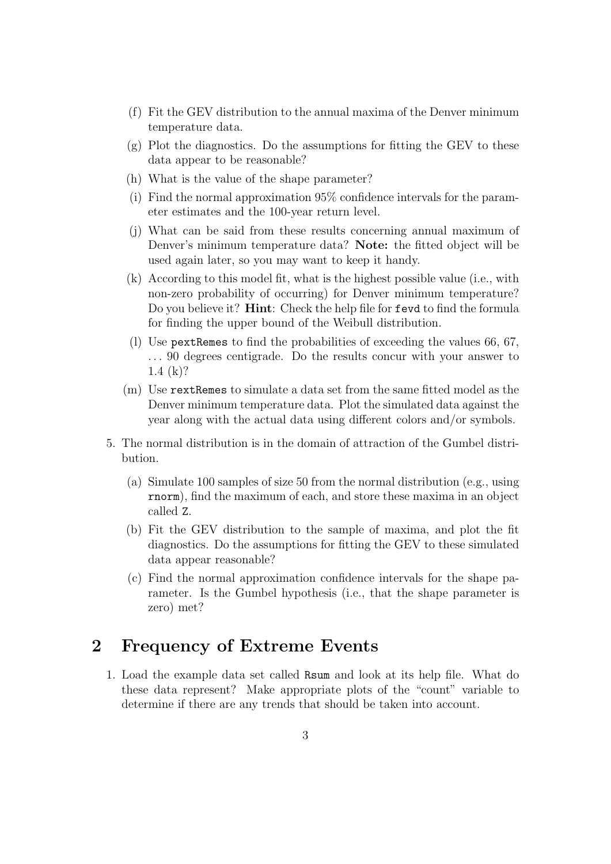- (f) Fit the GEV distribution to the annual maxima of the Denver minimum temperature data.
- (g) Plot the diagnostics. Do the assumptions for fitting the GEV to these data appear to be reasonable?
- (h) What is the value of the shape parameter?
- (i) Find the normal approximation 95% confidence intervals for the parameter estimates and the 100-year return level.
- (j) What can be said from these results concerning annual maximum of Denver's minimum temperature data? Note: the fitted object will be used again later, so you may want to keep it handy.
- (k) According to this model fit, what is the highest possible value (i.e., with non-zero probability of occurring) for Denver minimum temperature? Do you believe it? Hint: Check the help file for fevd to find the formula for finding the upper bound of the Weibull distribution.
- (l) Use pextRemes to find the probabilities of exceeding the values 66, 67, ... 90 degrees centigrade. Do the results concur with your answer to 1.4 (k)?
- (m) Use rextRemes to simulate a data set from the same fitted model as the Denver minimum temperature data. Plot the simulated data against the year along with the actual data using different colors and/or symbols.
- 5. The normal distribution is in the domain of attraction of the Gumbel distribution.
	- (a) Simulate 100 samples of size 50 from the normal distribution (e.g., using rnorm), find the maximum of each, and store these maxima in an object called Z.
	- (b) Fit the GEV distribution to the sample of maxima, and plot the fit diagnostics. Do the assumptions for fitting the GEV to these simulated data appear reasonable?
	- (c) Find the normal approximation confidence intervals for the shape parameter. Is the Gumbel hypothesis (i.e., that the shape parameter is zero) met?

# 2 Frequency of Extreme Events

1. Load the example data set called Rsum and look at its help file. What do these data represent? Make appropriate plots of the "count" variable to determine if there are any trends that should be taken into account.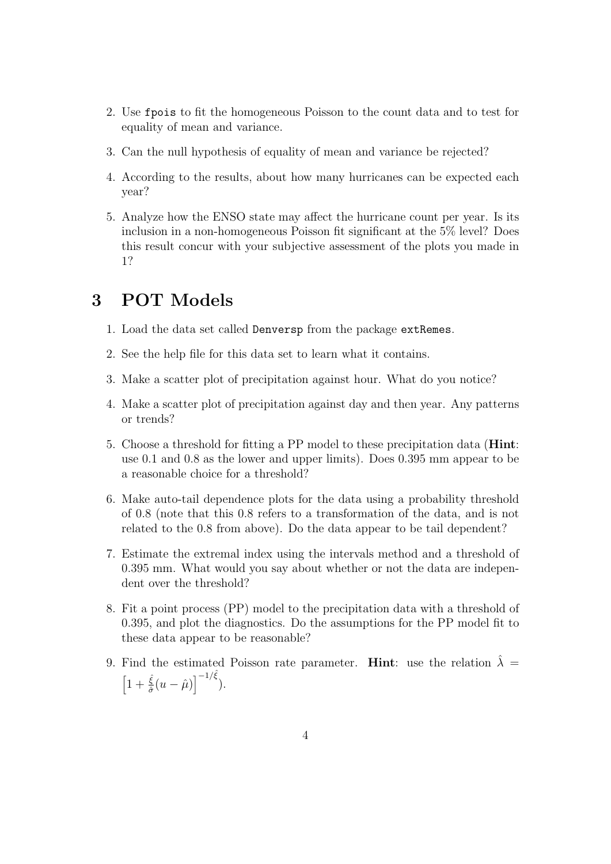- 2. Use fpois to fit the homogeneous Poisson to the count data and to test for equality of mean and variance.
- 3. Can the null hypothesis of equality of mean and variance be rejected?
- 4. According to the results, about how many hurricanes can be expected each year?
- 5. Analyze how the ENSO state may affect the hurricane count per year. Is its inclusion in a non-homogeneous Poisson fit significant at the 5% level? Does this result concur with your subjective assessment of the plots you made in 1?

# 3 POT Models

- 1. Load the data set called Denversp from the package extRemes.
- 2. See the help file for this data set to learn what it contains.
- 3. Make a scatter plot of precipitation against hour. What do you notice?
- 4. Make a scatter plot of precipitation against day and then year. Any patterns or trends?
- 5. Choose a threshold for fitting a PP model to these precipitation data (Hint: use 0.1 and 0.8 as the lower and upper limits). Does 0.395 mm appear to be a reasonable choice for a threshold?
- 6. Make auto-tail dependence plots for the data using a probability threshold of 0.8 (note that this 0.8 refers to a transformation of the data, and is not related to the 0.8 from above). Do the data appear to be tail dependent?
- 7. Estimate the extremal index using the intervals method and a threshold of 0.395 mm. What would you say about whether or not the data are independent over the threshold?
- 8. Fit a point process (PP) model to the precipitation data with a threshold of 0.395, and plot the diagnostics. Do the assumptions for the PP model fit to these data appear to be reasonable?
- 9. Find the estimated Poisson rate parameter. Hint: use the relation  $\hat{\lambda} =$  $\left[1+\frac{\hat{\xi}}{\hat{\sigma}}(u-\hat{\mu})\right]^{-1/\hat{\xi}}).$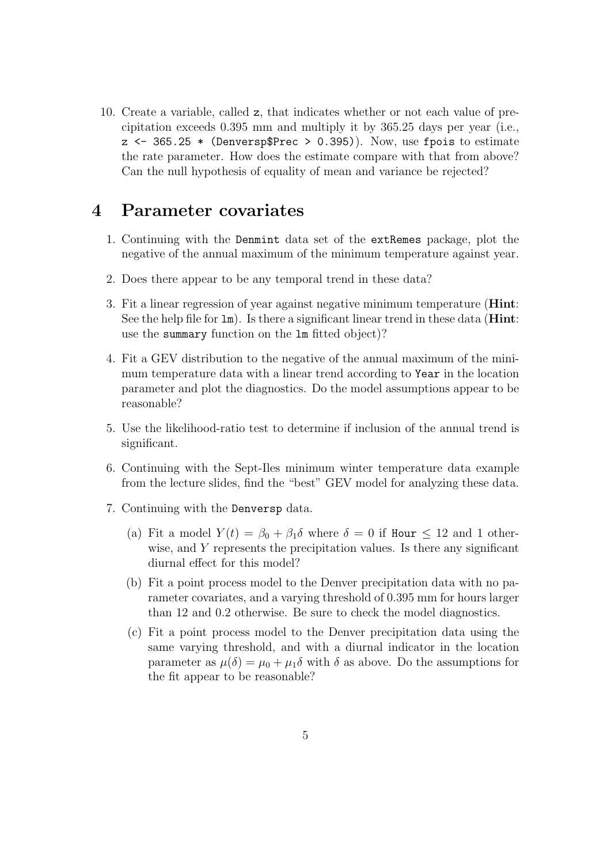10. Create a variable, called z, that indicates whether or not each value of precipitation exceeds 0.395 mm and multiply it by 365.25 days per year (i.e.,  $z \leftarrow 365.25 *$  (Denversp\$Prec > 0.395)). Now, use fpois to estimate the rate parameter. How does the estimate compare with that from above? Can the null hypothesis of equality of mean and variance be rejected?

### 4 Parameter covariates

- 1. Continuing with the Denmint data set of the extRemes package, plot the negative of the annual maximum of the minimum temperature against year.
- 2. Does there appear to be any temporal trend in these data?
- 3. Fit a linear regression of year against negative minimum temperature (Hint: See the help file for  $\text{Im}$ ). Is there a significant linear trend in these data (**Hint**: use the summary function on the lm fitted object)?
- 4. Fit a GEV distribution to the negative of the annual maximum of the minimum temperature data with a linear trend according to Year in the location parameter and plot the diagnostics. Do the model assumptions appear to be reasonable?
- 5. Use the likelihood-ratio test to determine if inclusion of the annual trend is significant.
- 6. Continuing with the Sept-Iles minimum winter temperature data example from the lecture slides, find the "best" GEV model for analyzing these data.
- 7. Continuing with the Denversp data.
	- (a) Fit a model  $Y(t) = \beta_0 + \beta_1 \delta$  where  $\delta = 0$  if Hour  $\leq 12$  and 1 otherwise, and Y represents the precipitation values. Is there any significant diurnal effect for this model?
	- (b) Fit a point process model to the Denver precipitation data with no parameter covariates, and a varying threshold of 0.395 mm for hours larger than 12 and 0.2 otherwise. Be sure to check the model diagnostics.
	- (c) Fit a point process model to the Denver precipitation data using the same varying threshold, and with a diurnal indicator in the location parameter as  $\mu(\delta) = \mu_0 + \mu_1 \delta$  with  $\delta$  as above. Do the assumptions for the fit appear to be reasonable?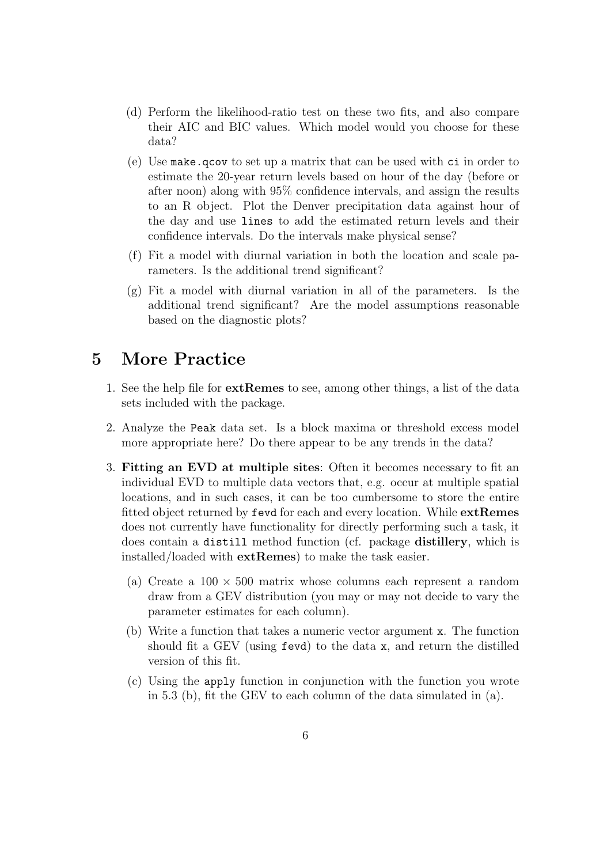- (d) Perform the likelihood-ratio test on these two fits, and also compare their AIC and BIC values. Which model would you choose for these data?
- (e) Use make.qcov to set up a matrix that can be used with ci in order to estimate the 20-year return levels based on hour of the day (before or after noon) along with 95% confidence intervals, and assign the results to an R object. Plot the Denver precipitation data against hour of the day and use lines to add the estimated return levels and their confidence intervals. Do the intervals make physical sense?
- (f) Fit a model with diurnal variation in both the location and scale parameters. Is the additional trend significant?
- $(g)$  Fit a model with diurnal variation in all of the parameters. Is the additional trend significant? Are the model assumptions reasonable based on the diagnostic plots?

# 5 More Practice

- 1. See the help file for extRemes to see, among other things, a list of the data sets included with the package.
- 2. Analyze the Peak data set. Is a block maxima or threshold excess model more appropriate here? Do there appear to be any trends in the data?
- 3. Fitting an EVD at multiple sites: Often it becomes necessary to fit an individual EVD to multiple data vectors that, e.g. occur at multiple spatial locations, and in such cases, it can be too cumbersome to store the entire fitted object returned by fevd for each and every location. While extRemes does not currently have functionality for directly performing such a task, it does contain a distill method function (cf. package distillery, which is installed/loaded with extRemes) to make the task easier.
	- (a) Create a  $100 \times 500$  matrix whose columns each represent a random draw from a GEV distribution (you may or may not decide to vary the parameter estimates for each column).
	- (b) Write a function that takes a numeric vector argument x. The function should fit a GEV (using fevd) to the data x, and return the distilled version of this fit.
	- (c) Using the apply function in conjunction with the function you wrote in 5.3 (b), fit the GEV to each column of the data simulated in (a).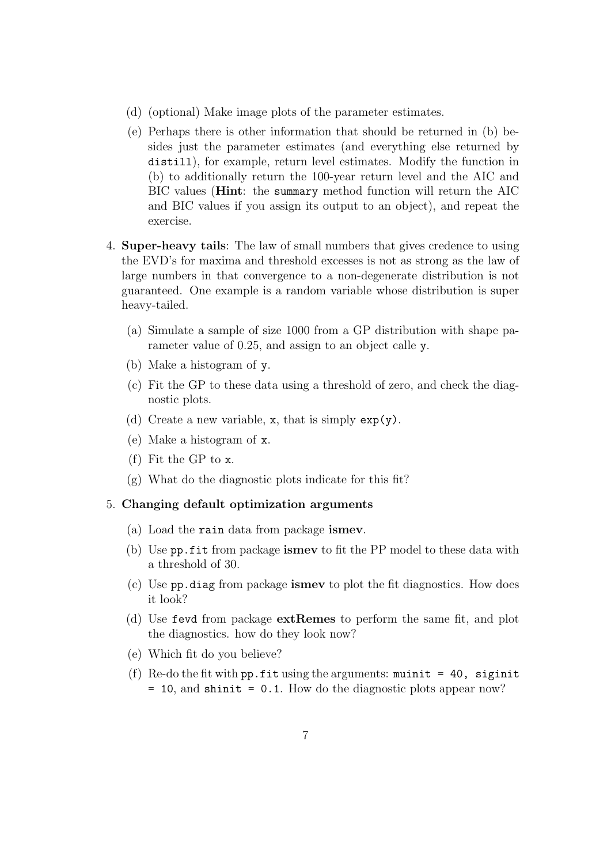- (d) (optional) Make image plots of the parameter estimates.
- (e) Perhaps there is other information that should be returned in (b) besides just the parameter estimates (and everything else returned by distill), for example, return level estimates. Modify the function in (b) to additionally return the 100-year return level and the AIC and BIC values (Hint: the summary method function will return the AIC and BIC values if you assign its output to an object), and repeat the exercise.
- 4. Super-heavy tails: The law of small numbers that gives credence to using the EVD's for maxima and threshold excesses is not as strong as the law of large numbers in that convergence to a non-degenerate distribution is not guaranteed. One example is a random variable whose distribution is super heavy-tailed.
	- (a) Simulate a sample of size 1000 from a GP distribution with shape parameter value of 0.25, and assign to an object calle y.
	- (b) Make a histogram of y.
	- (c) Fit the GP to these data using a threshold of zero, and check the diagnostic plots.
	- (d) Create a new variable,  $x$ , that is simply  $exp(y)$ .
	- (e) Make a histogram of x.
	- (f) Fit the GP to x.
	- (g) What do the diagnostic plots indicate for this fit?

### 5. Changing default optimization arguments

- (a) Load the rain data from package ismev.
- (b) Use pp.fit from package ismev to fit the PP model to these data with a threshold of 30.
- (c) Use pp.diag from package ismev to plot the fit diagnostics. How does it look?
- (d) Use fevd from package extRemes to perform the same fit, and plot the diagnostics. how do they look now?
- (e) Which fit do you believe?
- (f) Re-do the fit with pp.fit using the arguments: muinit = 40, siginit = 10, and shinit = 0.1. How do the diagnostic plots appear now?